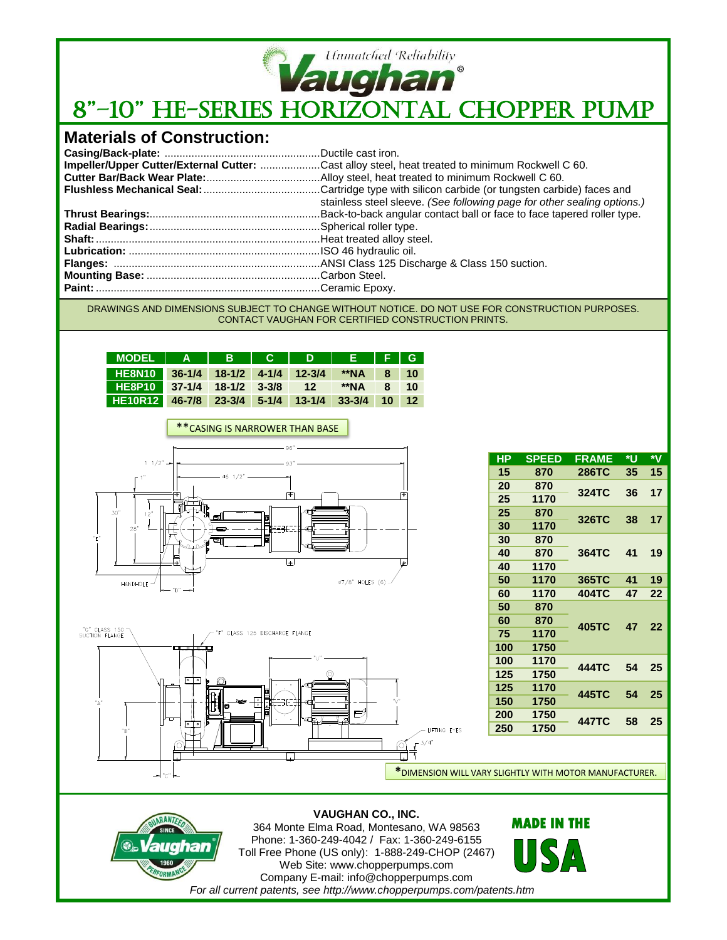

## *Ummatched Reliability*<br>8"–10" HE-SERIES HORIZONTAL CHOPPER PUMP

## **Materials of Construction:**

| Impeller/Upper Cutter/External Cutter: Cast alloy steel, heat treated to minimum Rockwell C 60. |
|-------------------------------------------------------------------------------------------------|
|                                                                                                 |
|                                                                                                 |
| stainless steel sleeve. (See following page for other sealing options.)                         |
|                                                                                                 |
|                                                                                                 |
|                                                                                                 |
|                                                                                                 |
|                                                                                                 |
|                                                                                                 |
|                                                                                                 |

DRAWINGS AND DIMENSIONS SUBJECT TO CHANGE WITHOUT NOTICE. DO NOT USE FOR CONSTRUCTION PURPOSES. CONTACT VAUGHAN FOR CERTIFIED CONSTRUCTION PRINTS.

| MODEL   A   B   C   D   E   F   G               |  |  |  |  |
|-------------------------------------------------|--|--|--|--|
| HE8N10 36-1/4 18-1/2 4-1/4 12-3/4 **NA 8 10     |  |  |  |  |
| HE8P10 37-1/4 18-1/2 3-3/8 12 **NA 8 10         |  |  |  |  |
| HE10R12 46-7/8 23-3/4 5-1/4 13-1/4 33-3/4 10 12 |  |  |  |  |





| HР  | <b>SPEED</b> | <b>FRAME</b> | ۰U | ∗۷ |  |
|-----|--------------|--------------|----|----|--|
| 15  | 870          | 286TC        | 35 | 15 |  |
| 20  | 870          | 324TC        | 36 | 17 |  |
| 25  | 1170         |              |    |    |  |
| 25  | 870          |              |    |    |  |
| 30  | 1170         | 326TC        | 38 | 17 |  |
| 30  | 870          |              | 41 |    |  |
| 40  | 870          | 364TC        |    | 19 |  |
| 40  | 1170         |              |    |    |  |
| 50  | 1170         | 365TC        | 41 | 19 |  |
| 60  | 1170         | 404TC        | 47 | 22 |  |
| 50  | 870          |              | 47 | 22 |  |
| 60  | 870          | 405TC        |    |    |  |
| 75  | 1170         |              |    |    |  |
| 100 | 1750         |              |    |    |  |
| 100 | 1170         | 444TC        |    |    |  |
| 125 | 1750         |              | 54 | 25 |  |
| 125 | 1170         | 445TC        | 54 | 25 |  |
| 150 | 1750         |              |    |    |  |
| 200 | 1750         | 447TC        |    | 25 |  |
| 250 | 1750         |              | 58 |    |  |
|     |              |              |    |    |  |

**\***DIMENSION WILL VARY SLIGHTLY WITH MOTOR MANUFACTURER.

# 21

### **VAUGHAN CO., INC.** 364 Monte Elma Road, Montesano, WA 98563

Phone: 1-360-249-4042 / Fax: 1-360-249-6155 Toll Free Phone (US only): 1-888-249-CHOP (2467) Web Site: www.chopperpumps.com Company E-mail: info@chopperpumps.com *For all current patents, see http://www.chopperpumps.com/patents.htm*